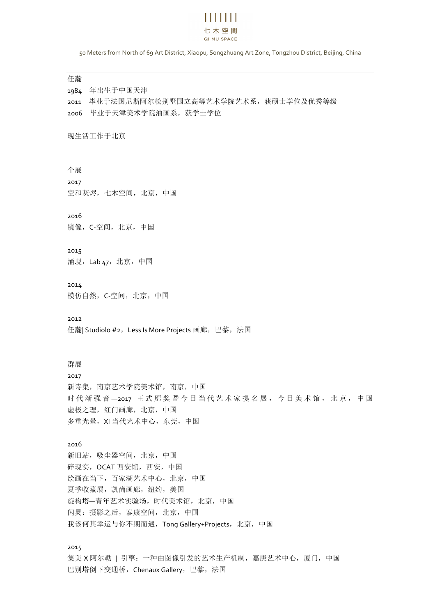# 11 1 1 1 1 1 1 七木空間 QI MU SPACE

50 Meters from North of 69 Art District, Xiaopu, Songzhuang Art Zone, Tongzhou District, Beijing, China

## 任瀚

1984 年出生于中国天津 2011 毕业于法国尼斯阿尔松别墅国立高等艺术学院艺术系,获硕士学位及优秀等级 2006 毕业于天津美术学院油画系,获学士学位

## 现生活工作于北京

个展 2017 空和灰烬,七木空间,北京,中国

2016

镜像,C-空间,北京,中国

## 2015

涌现, Lab 47, 北京, 中国

2014 模仿自然,C-空间,北京,中国

2012 任瀚| Studiolo #2,Less Is More Projects 画廊,巴黎,法国

### 群展

2017 新诗集,南京艺术学院美术馆,南京,中国 时代渐强音-2017 王式廓奖暨今日当代艺术家提名展,今日美术馆,北京,中国 虚极之理,红门画廊,北京,中国 多重光晕,XI 当代艺术中心,东莞,中国

# 2016

新旧站,吸尘器空间,北京,中国 碎现实,OCAT 西安馆,西安,中国 绘画在当下,百家湖艺术中心,北京,中国 夏季收藏展,凯尚画廊,纽约,美国 旋构塔—青年艺术实验场,时代美术馆,北京,中国 闪灵:摄影之后,泰康空间,北京,中国 我该何其幸运与你不期而遇, Tong Gallery+Projects, 北京, 中国

## 2015

集美 X 阿尔勒 | 引擎: 一种由图像引发的艺术生产机制,嘉庚艺术中心,厦门,中国 巴别塔倒下变通桥, Chenaux Gallery, 巴黎, 法国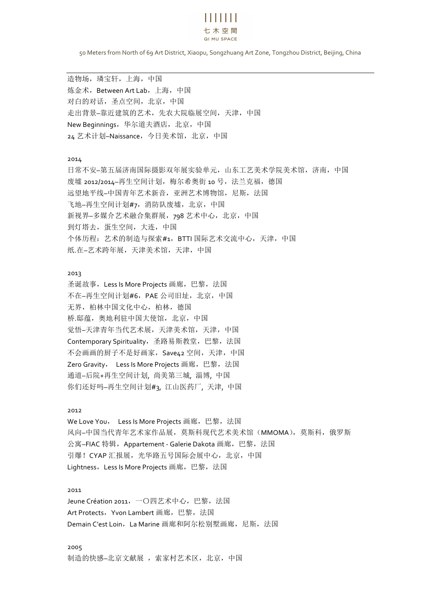# 11 1 1 1 1 1 1 七木空間 QI MU SPACE

50 Meters from North of 69 Art District, Xiaopu, Songzhuang Art Zone, Tongzhou District, Beijing, China

造物场,璘宝轩,上海,中国 炼金术, Between Art Lab, 上海, 中国 对白的对话,圣点空间,北京,中国 走出背景–靠近建筑的艺术,先农大院临展空间,天津,中国 New Beginnings,华尔道夫酒店,北京,中国 24 艺术计划–Naissance, 今日美术馆, 北京, 中国

## 2014

日常不安–第五届济南国际摄影双年展实验单元,山东工艺美术学院美术馆,济南,中国 废墟 2012/2014-再生空间计划, 梅尔希奥街 10 号, 法兰克福, 德国 远望地平线–中国青年艺术新音,亚洲艺术博物馆,尼斯,法国 飞地–再生空间计划#7, 消防队废墟, 北京, 中国 新视界–多媒介艺术融合集群展, 798 艺术中心, 北京, 中国 到灯塔去,蛋生空间,大连,中国 个体历程:艺术的制造与探索#1,BTTI 国际艺术交流中心,天津,中国 纸.在–艺术跨年展,天津美术馆,天津,中国

#### 2013

圣诞故事, Less Is More Projects 画廊, 巴黎, 法国 不在–再生空间计划#6, PAE 公司旧址, 北京, 中国 无界,柏林中国文化中心,柏林,德国 桥.邸蕴,奥地利驻中国大使馆,北京,中国 觉悟–天津青年当代艺术展,天津美术馆,天津,中国 Contemporary Spirituality, 圣路易斯教堂, 巴黎, 法国 不会画画的厨子不是好画家, Save42 空间, 天津, 中国 Zero Gravity, Less Is More Projects 画廊, 巴黎, 法国 通道–后院+再生空间计划, 尚美第三城, 淄博, 中国 你们还好吗–再生空间计划#3, 江山医药厂, 天津, 中国

#### 2012

We Love You, Less Is More Projects 画廊,巴黎,法国 风向–中国当代青年艺术家作品展, 莫斯科现代艺术美术馆(MMOMA), 莫斯科, 俄罗斯 公寓–FIAC 特辑, Appartement - Galerie Dakota 画廊, 巴黎, 法国 引爆!CYAP 汇报展,光华路五号国际会展中心,北京,中国 Lightness, Less Is More Projects 画廊, 巴黎, 法国

#### 2011

Jeune Création 2011, 一〇四艺术中心, 巴黎, 法国 Art Protects, Yvon Lambert 画廊, 巴黎, 法国 Demain C'est Loin, La Marine 画廊和阿尔松别墅画廊, 尼斯, 法国

## 2005

制造的快感–北京文献展,索家村艺术区,北京,中国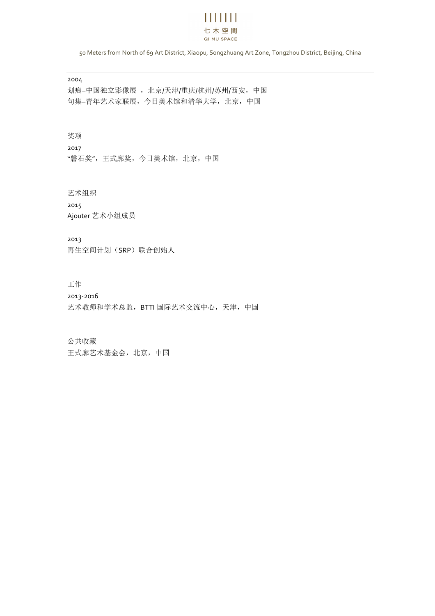# $\mathbf{H}$   $\mathbf{H}$   $\mathbf{H}$ 七木空間 QI MU SPACE

50 Meters from North of 69 Art District, Xiaopu, Songzhuang Art Zone, Tongzhou District, Beijing, China

2004

划痕–中国独立影像展 ,北京/天津/重庆/杭州/苏州/西安,中国 句集–青年艺术家联展,今日美术馆和清华大学,北京,中国

奖项

2017 "磐石奖",王式廓奖,今日美术馆,北京,中国

艺术组织 2015 Ajouter 艺术小组成员

2013 再生空间计划(SRP)联合创始人

工作

2013-2016 艺术教师和学术总监, BTTI 国际艺术交流中心, 天津, 中国

公共收藏

王式廓艺术基金会,北京,中国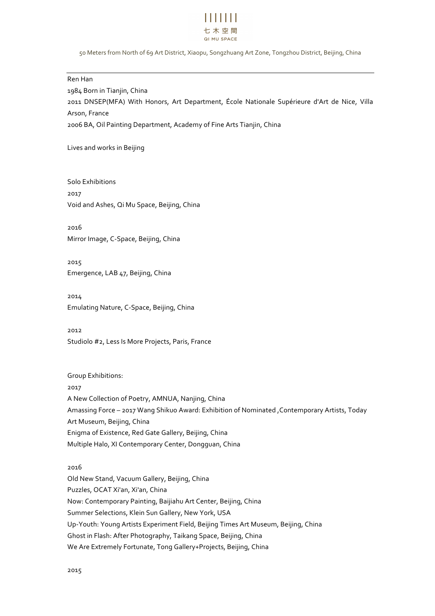

#### 50 Meters from North of 69 Art District, Xiaopu, Songzhuang Art Zone, Tongzhou District, Beijing, China

**Ren** Han 1984 Born in Tianjin, China 2011 DNSEP(MFA) With Honors, Art Department, École Nationale Supérieure d'Art de Nice, Villa Arson, France 2006 BA, Oil Painting Department, Academy of Fine Arts Tianjin, China

Lives and works in Beijing

Solo Exhibitions 2017 Void and Ashes, Qi Mu Space, Beijing, China

2016 Mirror Image, C-Space, Beijing, China

2015 Emergence, LAB 47, Beijing, China

2014 Emulating Nature, C-Space, Beijing, China

2012 Studiolo #2, Less Is More Projects, Paris, France

Group Exhibitions: 2017 A New Collection of Poetry, AMNUA, Nanjing, China Amassing Force - 2017 Wang Shikuo Award: Exhibition of Nominated , Contemporary Artists, Today Art Museum, Beijing, China Enigma of Existence, Red Gate Gallery, Beijing, China Multiple Halo, XI Contemporary Center, Dongguan, China

2016 

Old New Stand, Vacuum Gallery, Beijing, China Puzzles, OCAT Xi'an, Xi'an, China Now: Contemporary Painting, Baijiahu Art Center, Beijing, China Summer Selections, Klein Sun Gallery, New York, USA Up-Youth: Young Artists Experiment Field, Beijing Times Art Museum, Beijing, China Ghost in Flash: After Photography, Taikang Space, Beijing, China We Are Extremely Fortunate, Tong Gallery+Projects, Beijing, China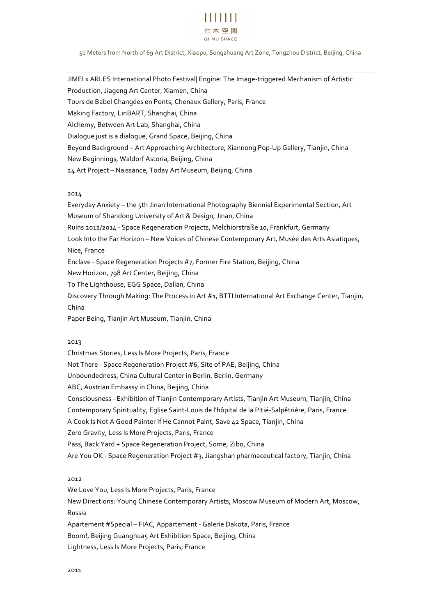

#### 50 Meters from North of 69 Art District, Xiaopu, Songzhuang Art Zone, Tongzhou District, Beijing, China

JIMEI x ARLES International Photo Festival| Engine: The Image-triggered Mechanism of Artistic Production, Jiageng Art Center, Xiamen, China Tours de Babel Changées en Ponts, Chenaux Gallery, Paris, France Making Factory, LinBART, Shanghai, China Alchemy, Between Art Lab, Shanghai, China Dialogue just is a dialogue, Grand Space, Beijing, China Beyond Background - Art Approaching Architecture, Xiannong Pop-Up Gallery, Tianjin, China New Beginnings, Waldorf Astoria, Beijing, China 24 Art Project - Naissance, Today Art Museum, Beijing, China

#### 2014

Everyday Anxiety – the 5th Jinan International Photography Biennial Experimental Section, Art Museum of Shandong University of Art & Design, Jinan, China Ruins 2012/2014 - Space Regeneration Projects, Melchiorstraße 10, Frankfurt, Germany Look Into the Far Horizon – New Voices of Chinese Contemporary Art, Musée des Arts Asiatiques, Nice, France in the contract of the contract of the contract of the contract of the contract of the contract of the contract of the contract of the contract of the contract of the contract of the contract of the contract o Enclave - Space Regeneration Projects #7, Former Fire Station, Beijing, China New Horizon, 798 Art Center, Beijing, China To The Lighthouse, EGG Space, Dalian, China Discovery Through Making: The Process in Art #1, BTTI International Art Exchange Center, Tianjin, China and the contract of the contract of the contract of the contract of the contract of the contract of the contract of the contract of the contract of the contract of the contract of the contract of the contract of the

Paper Being, Tianjin Art Museum, Tianjin, China

# 2013

Christmas Stories, Less Is More Projects, Paris, France Not There - Space Regeneration Project #6, Site of PAE, Beijing, China Unboundedness, China Cultural Center in Berlin, Berlin, Germany ABC, Austrian Embassy in China, Beijing, China Consciousness - Exhibition of Tianjin Contemporary Artists, Tianjin Art Museum, Tianjin, China Contemporary Spirituality, Eqlise Saint-Louis de l'hôpital de la Pitié-Salpêtrière, Paris, France A Cook Is Not A Good Painter If He Cannot Paint, Save 42 Space, Tianjin, China Zero Gravity, Less Is More Projects, Paris, France Pass, Back Yard + Space Regeneration Project, Some, Zibo, China Are You OK - Space Regeneration Project #3, Jiangshan pharmaceutical factory, Tianjin, China

# 2012

We Love You, Less Is More Projects, Paris, France New Directions: Young Chinese Contemporary Artists, Moscow Museum of Modern Art, Moscow, Russia and the contract of the contract of the contract of the contract of the contract of the contract of the contract of the contract of the contract of the contract of the contract of the contract of the contract of the Apartement #Special - FIAC, Appartement - Galerie Dakota, Paris, France Boom!, Beijing Guanghuas Art Exhibition Space, Beijing, China Lightness, Less Is More Projects, Paris, France